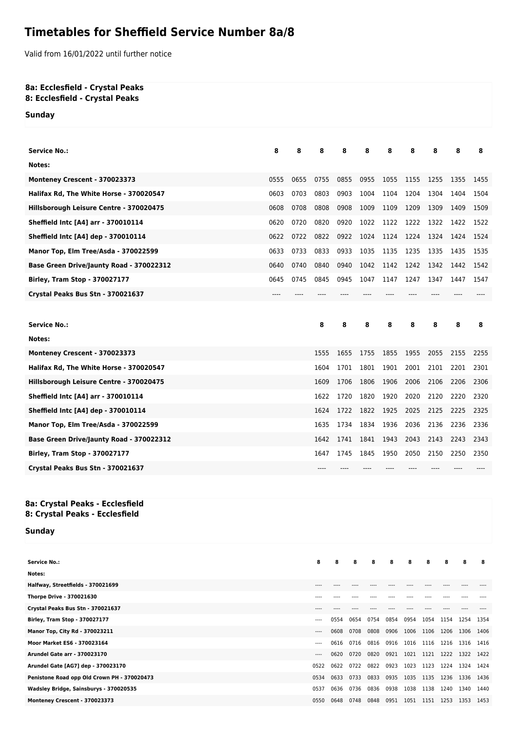## **Timetables for Sheffield Service Number 8a/8**

Valid from 16/01/2022 until further notice

## **8a: Ecclesfield - Crystal Peaks 8: Ecclesfield - Crystal Peaks**

**Sunday**

| Service No.:                             | 8    | 8    | 8    | 8    | 8    | 8    | 8    | 8    | 8    | 8    |
|------------------------------------------|------|------|------|------|------|------|------|------|------|------|
| Notes:                                   |      |      |      |      |      |      |      |      |      |      |
| Monteney Crescent - 370023373            | 0555 | 0655 | 0755 | 0855 | 0955 | 1055 | 1155 | 1255 | 1355 | 1455 |
| Halifax Rd, The White Horse - 370020547  | 0603 | 0703 | 0803 | 0903 | 1004 | 1104 | 1204 | 1304 | 1404 | 1504 |
| Hillsborough Leisure Centre - 370020475  | 0608 | 0708 | 0808 | 0908 | 1009 | 1109 | 1209 | 1309 | 1409 | 1509 |
| Sheffield Intc [A4] arr - 370010114      | 0620 | 0720 | 0820 | 0920 | 1022 | 1122 | 1222 | 1322 | 1422 | 1522 |
| Sheffield Intc [A4] dep - 370010114      | 0622 | 0722 | 0822 | 0922 | 1024 | 1124 | 1224 | 1324 | 1424 | 1524 |
| Manor Top, Elm Tree/Asda - 370022599     | 0633 | 0733 | 0833 | 0933 | 1035 | 1135 | 1235 | 1335 | 1435 | 1535 |
| Base Green Drive/Jaunty Road - 370022312 | 0640 | 0740 | 0840 | 0940 | 1042 | 1142 | 1242 | 1342 | 1442 | 1542 |
| Birley, Tram Stop - 370027177            | 0645 | 0745 | 0845 | 0945 | 1047 | 1147 | 1247 | 1347 | 1447 | 1547 |
| Crystal Peaks Bus Stn - 370021637        |      |      |      |      |      |      |      |      |      |      |
|                                          |      |      |      |      |      |      |      |      |      |      |
|                                          |      |      |      |      |      |      |      |      |      |      |
| <b>Service No.:</b>                      |      |      | 8    | 8    | 8    | 8    | 8    | 8    | 8    | 8    |
| Notes:                                   |      |      |      |      |      |      |      |      |      |      |
| Monteney Crescent - 370023373            |      |      | 1555 | 1655 | 1755 | 1855 | 1955 | 2055 | 2155 | 2255 |
| Halifax Rd, The White Horse - 370020547  |      |      | 1604 | 1701 | 1801 | 1901 | 2001 | 2101 | 2201 | 2301 |
| Hillsborough Leisure Centre - 370020475  |      |      | 1609 | 1706 | 1806 | 1906 | 2006 | 2106 | 2206 | 2306 |
| Sheffield Intc [A4] arr - 370010114      |      |      | 1622 | 1720 | 1820 | 1920 | 2020 | 2120 | 2220 | 2320 |
| Sheffield Intc [A4] dep - 370010114      |      |      | 1624 | 1722 | 1822 | 1925 | 2025 | 2125 | 2225 | 2325 |
| Manor Top, Elm Tree/Asda - 370022599     |      |      | 1635 | 1734 | 1834 | 1936 | 2036 | 2136 | 2236 | 2336 |
| Base Green Drive/Jaunty Road - 370022312 |      |      | 1642 | 1741 | 1841 | 1943 | 2043 | 2143 | 2243 | 2343 |
| <b>Birley, Tram Stop - 370027177</b>     |      |      | 1647 | 1745 | 1845 | 1950 | 2050 | 2150 | 2250 | 2350 |
| Crystal Peaks Bus Stn - 370021637        |      |      |      |      |      |      |      |      |      |      |
|                                          |      |      |      |      |      |      |      |      |      |      |

## **8a: Crystal Peaks - Ecclesfield 8: Crystal Peaks - Ecclesfield**

**Sunday**

| <b>Service No.:</b>                         | 8        | 8    | 8    | 8    | 8    | 8    | 8    | 8    | 8         | 8    |
|---------------------------------------------|----------|------|------|------|------|------|------|------|-----------|------|
| Notes:                                      |          |      |      |      |      |      |      |      |           |      |
| Halfway, Streetfields - 370021699           |          |      |      |      |      |      |      |      |           |      |
| <b>Thorpe Drive - 370021630</b>             |          |      |      |      |      |      |      |      |           |      |
| Crystal Peaks Bus Stn - 370021637           |          |      |      |      |      |      |      |      |           |      |
| Birley, Tram Stop - 370027177               | $\cdots$ | 0554 | 0654 | 0754 | 0854 | 0954 | 1054 | 1154 | 1254      | 1354 |
| Manor Top, City Rd - 370023211              | $---$    | 0608 | 0708 | 0808 | 0906 | 1006 | 1106 | 1206 | 1306      | 1406 |
| Moor Market ES6 - 370023164                 | $---$    | 0616 | 0716 | 0816 | 0916 | 1016 | 1116 | 1216 | 1316      | 1416 |
| <b>Arundel Gate arr - 370023170</b>         | $---$    | 0620 | 0720 | 0820 | 0921 | 1021 | 1121 | 1222 | 1322 1422 |      |
| Arundel Gate [AG7] dep - 370023170          | 0522     | 0622 | 0722 | 0822 | 0923 | 1023 | 1123 | 1224 | 1324      | 1424 |
| Penistone Road opp Old Crown PH - 370020473 | 0534     | 0633 | 0733 | 0833 | 0935 | 1035 | 1135 | 1236 | 1336      | 1436 |
| Wadsley Bridge, Sainsburys - 370020535      | 0537     | 0636 | 0736 | 0836 | 0938 | 1038 | 1138 | 1240 | 1340      | 1440 |
| Monteney Crescent - 370023373               | 0550     | 0648 | 0748 | 0848 | 0951 | 1051 | 1151 | 1253 | 1353      | 1453 |